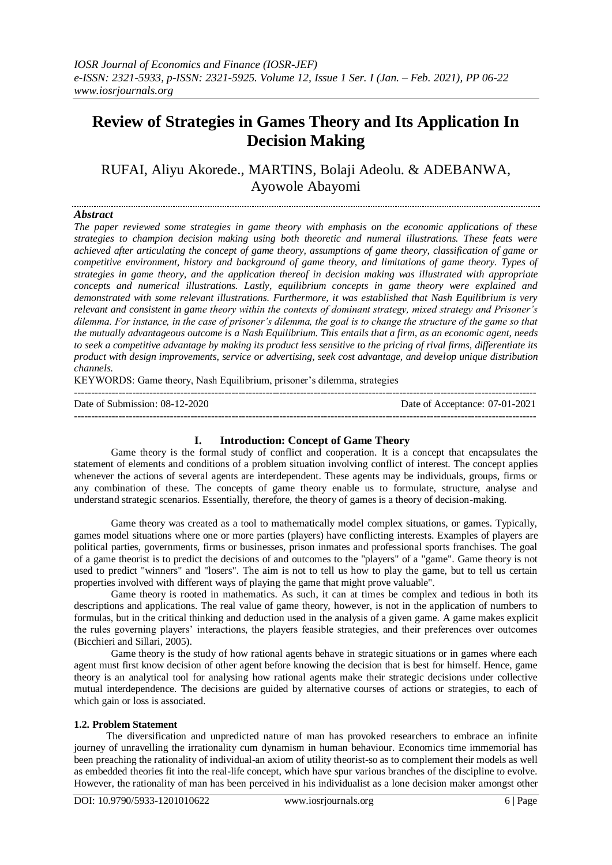# **Review of Strategies in Games Theory and Its Application In Decision Making**

RUFAI, Aliyu Akorede., MARTINS, Bolaji Adeolu. & ADEBANWA, Ayowole Abayomi

## *Abstract*

*The paper reviewed some strategies in game theory with emphasis on the economic applications of these strategies to champion decision making using both theoretic and numeral illustrations. These feats were achieved after articulating the concept of game theory, assumptions of game theory, classification of game or competitive environment, history and background of game theory, and limitations of game theory. Types of strategies in game theory, and the application thereof in decision making was illustrated with appropriate concepts and numerical illustrations. Lastly, equilibrium concepts in game theory were explained and demonstrated with some relevant illustrations. Furthermore, it was established that Nash Equilibrium is very relevant and consistent in game theory within the contexts of dominant strategy, mixed strategy and Prisoner's dilemma. For instance, in the case of prisoner's dilemma, the goal is to change the structure of the game so that the mutually advantageous outcome is a Nash Equilibrium. This entails that a firm, as an economic agent, needs to seek a competitive advantage by making its product less sensitive to the pricing of rival firms, differentiate its product with design improvements, service or advertising, seek cost advantage, and develop unique distribution channels.* 

KEYWORDS: Game theory, Nash Equilibrium, prisoner's dilemma, strategies

Date of Submission: 08-12-2020 Date of Acceptance: 07-01-2021

#### ---------------------------------------------------------------------------------------------------------------------------------------

# **I. Introduction: Concept of Game Theory**

---------------------------------------------------------------------------------------------------------------------------------------

Game theory is the formal study of conflict and cooperation. It is a concept that encapsulates the statement of elements and conditions of a problem situation involving conflict of interest. The concept applies whenever the actions of several agents are interdependent. These agents may be individuals, groups, firms or any combination of these. The concepts of game theory enable us to formulate, structure, analyse and understand strategic scenarios. Essentially, therefore, the theory of games is a theory of decision-making.

Game theory was created as a tool to mathematically model complex situations, or games. Typically, games model situations where one or more parties (players) have conflicting interests. Examples of players are political parties, governments, firms or businesses, prison inmates and professional sports franchises. The goal of a game theorist is to predict the decisions of and outcomes to the "players" of a "game". Game theory is not used to predict "winners" and "losers". The aim is not to tell us how to play the game, but to tell us certain properties involved with different ways of playing the game that might prove valuable".

Game theory is rooted in mathematics. As such, it can at times be complex and tedious in both its descriptions and applications. The real value of game theory, however, is not in the application of numbers to formulas, but in the critical thinking and deduction used in the analysis of a given game. A game makes explicit the rules governing players' interactions, the players feasible strategies, and their preferences over outcomes (Bicchieri and Sillari, 2005).

Game theory is the study of how rational agents behave in strategic situations or in games where each agent must first know decision of other agent before knowing the decision that is best for himself. Hence, game theory is an analytical tool for analysing how rational agents make their strategic decisions under collective mutual interdependence. The decisions are guided by alternative courses of actions or strategies, to each of which gain or loss is associated.

## **1.2. Problem Statement**

The diversification and unpredicted nature of man has provoked researchers to embrace an infinite journey of unravelling the irrationality cum dynamism in human behaviour. Economics time immemorial has been preaching the rationality of individual-an axiom of utility theorist-so as to complement their models as well as embedded theories fit into the real-life concept, which have spur various branches of the discipline to evolve. However, the rationality of man has been perceived in his individualist as a lone decision maker amongst other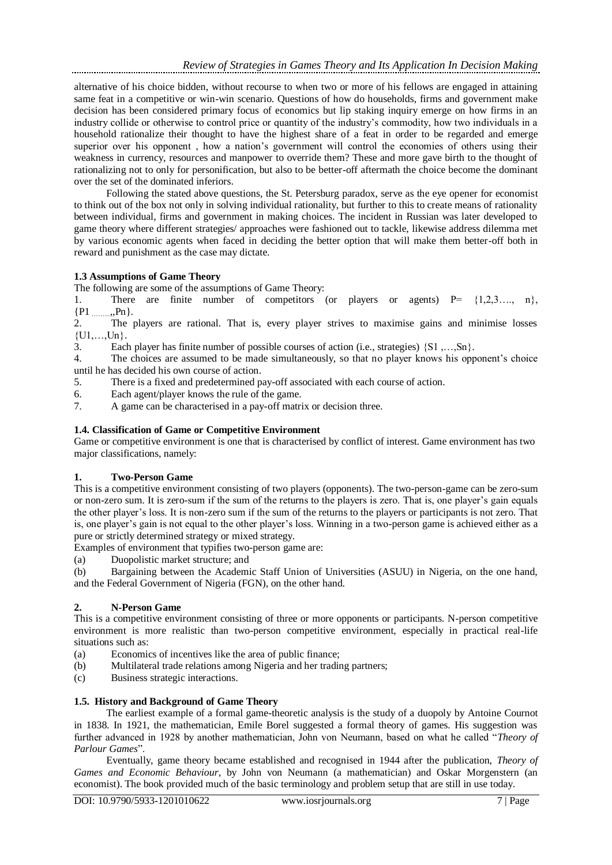alternative of his choice bidden, without recourse to when two or more of his fellows are engaged in attaining same feat in a competitive or win-win scenario. Questions of how do households, firms and government make decision has been considered primary focus of economics but lip staking inquiry emerge on how firms in an industry collide or otherwise to control price or quantity of the industry's commodity, how two individuals in a household rationalize their thought to have the highest share of a feat in order to be regarded and emerge superior over his opponent , how a nation's government will control the economies of others using their weakness in currency, resources and manpower to override them? These and more gave birth to the thought of rationalizing not to only for personification, but also to be better-off aftermath the choice become the dominant over the set of the dominated inferiors.

Following the stated above questions, the St. Petersburg paradox, serve as the eye opener for economist to think out of the box not only in solving individual rationality, but further to this to create means of rationality between individual, firms and government in making choices. The incident in Russian was later developed to game theory where different strategies/ approaches were fashioned out to tackle, likewise address dilemma met by various economic agents when faced in deciding the better option that will make them better-off both in reward and punishment as the case may dictate.

# **1.3 Assumptions of Game Theory**

The following are some of the assumptions of Game Theory:

1. There are finite number of competitors (or players or agents)  $P = \{1,2,3,..., n\}$ ,  $\{P1, \ldots, Pn\}$ .  ${P1}$  ……..

2. The players are rational. That is, every player strives to maximise gains and minimise losses  ${U1,...,Un}$ .

3. Each player has finite number of possible courses of action (i.e., strategies) {S1 ,…,Sn}.

4. The choices are assumed to be made simultaneously, so that no player knows his opponent's choice until he has decided his own course of action.

5. There is a fixed and predetermined pay-off associated with each course of action.

6. Each agent/player knows the rule of the game.

7. A game can be characterised in a pay-off matrix or decision three.

# **1.4. Classification of Game or Competitive Environment**

Game or competitive environment is one that is characterised by conflict of interest. Game environment has two major classifications, namely:

# **1. Two-Person Game**

This is a competitive environment consisting of two players (opponents). The two-person-game can be zero-sum or non-zero sum. It is zero-sum if the sum of the returns to the players is zero. That is, one player's gain equals the other player's loss. It is non-zero sum if the sum of the returns to the players or participants is not zero. That is, one player's gain is not equal to the other player's loss. Winning in a two-person game is achieved either as a pure or strictly determined strategy or mixed strategy.

Examples of environment that typifies two-person game are:

(a) Duopolistic market structure; and

(b) Bargaining between the Academic Staff Union of Universities (ASUU) in Nigeria, on the one hand, and the Federal Government of Nigeria (FGN), on the other hand.

# **2. N-Person Game**

This is a competitive environment consisting of three or more opponents or participants. N-person competitive environment is more realistic than two-person competitive environment, especially in practical real-life situations such as:

- (a) Economics of incentives like the area of public finance;
- (b) Multilateral trade relations among Nigeria and her trading partners;
- (c) Business strategic interactions.

# **1.5. History and Background of Game Theory**

The earliest example of a formal game-theoretic analysis is the study of a duopoly by Antoine Cournot in 1838. In 1921, the mathematician, Emile Borel suggested a formal theory of games. His suggestion was further advanced in 1928 by another mathematician, John von Neumann, based on what he called "*Theory of Parlour Games*".

Eventually, game theory became established and recognised in 1944 after the publication, *Theory of Games and Economic Behaviour*, by John von Neumann (a mathematician) and Oskar Morgenstern (an economist). The book provided much of the basic terminology and problem setup that are still in use today.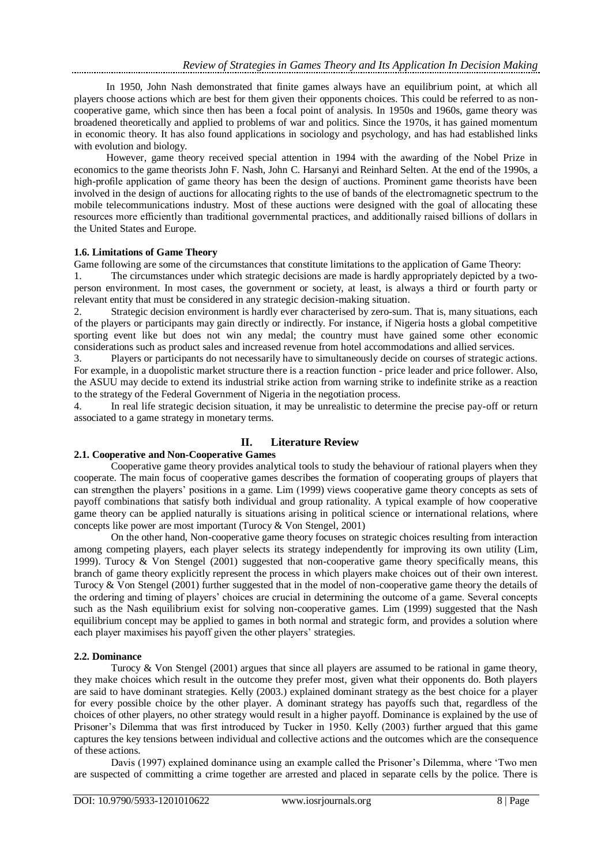In 1950, John Nash demonstrated that finite games always have an equilibrium point, at which all players choose actions which are best for them given their opponents choices. This could be referred to as noncooperative game, which since then has been a focal point of analysis. In 1950s and 1960s, game theory was broadened theoretically and applied to problems of war and politics. Since the 1970s, it has gained momentum in economic theory. It has also found applications in sociology and psychology, and has had established links with evolution and biology.

However, game theory received special attention in 1994 with the awarding of the Nobel Prize in economics to the game theorists John F. Nash, John C. Harsanyi and Reinhard Selten. At the end of the 1990s, a high-profile application of game theory has been the design of auctions. Prominent game theorists have been involved in the design of auctions for allocating rights to the use of bands of the electromagnetic spectrum to the mobile telecommunications industry. Most of these auctions were designed with the goal of allocating these resources more efficiently than traditional governmental practices, and additionally raised billions of dollars in the United States and Europe.

## **1.6. Limitations of Game Theory**

Game following are some of the circumstances that constitute limitations to the application of Game Theory:

1. The circumstances under which strategic decisions are made is hardly appropriately depicted by a twoperson environment. In most cases, the government or society, at least, is always a third or fourth party or relevant entity that must be considered in any strategic decision-making situation.

2. Strategic decision environment is hardly ever characterised by zero-sum. That is, many situations, each of the players or participants may gain directly or indirectly. For instance, if Nigeria hosts a global competitive sporting event like but does not win any medal; the country must have gained some other economic considerations such as product sales and increased revenue from hotel accommodations and allied services.

3. Players or participants do not necessarily have to simultaneously decide on courses of strategic actions. For example, in a duopolistic market structure there is a reaction function - price leader and price follower. Also, the ASUU may decide to extend its industrial strike action from warning strike to indefinite strike as a reaction to the strategy of the Federal Government of Nigeria in the negotiation process.

4. In real life strategic decision situation, it may be unrealistic to determine the precise pay-off or return associated to a game strategy in monetary terms.

# **II. Literature Review**

# **2.1. Cooperative and Non-Cooperative Games**

Cooperative game theory provides analytical tools to study the behaviour of rational players when they cooperate. The main focus of cooperative games describes the formation of cooperating groups of players that can strengthen the players' positions in a game. Lim (1999) views cooperative game theory concepts as sets of payoff combinations that satisfy both individual and group rationality. A typical example of how cooperative game theory can be applied naturally is situations arising in political science or international relations, where concepts like power are most important (Turocy & Von Stengel, 2001)

On the other hand, Non-cooperative game theory focuses on strategic choices resulting from interaction among competing players, each player selects its strategy independently for improving its own utility (Lim, 1999). Turocy & Von Stengel (2001) suggested that non-cooperative game theory specifically means, this branch of game theory explicitly represent the process in which players make choices out of their own interest. Turocy & Von Stengel (2001) further suggested that in the model of non-cooperative game theory the details of the ordering and timing of players' choices are crucial in determining the outcome of a game. Several concepts such as the Nash equilibrium exist for solving non-cooperative games. Lim (1999) suggested that the Nash equilibrium concept may be applied to games in both normal and strategic form, and provides a solution where each player maximises his payoff given the other players' strategies.

# **2.2. Dominance**

Turocy & Von Stengel (2001) argues that since all players are assumed to be rational in game theory, they make choices which result in the outcome they prefer most, given what their opponents do. Both players are said to have dominant strategies. Kelly (2003.) explained dominant strategy as the best choice for a player for every possible choice by the other player. A dominant strategy has payoffs such that, regardless of the choices of other players, no other strategy would result in a higher payoff. Dominance is explained by the use of Prisoner's Dilemma that was first introduced by Tucker in 1950. Kelly (2003) further argued that this game captures the key tensions between individual and collective actions and the outcomes which are the consequence of these actions.

Davis (1997) explained dominance using an example called the Prisoner's Dilemma, where 'Two men are suspected of committing a crime together are arrested and placed in separate cells by the police. There is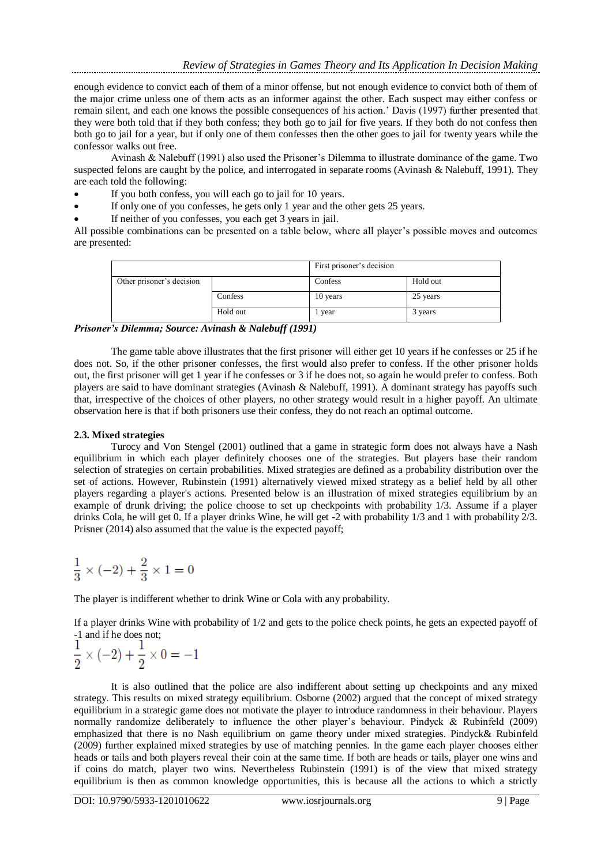enough evidence to convict each of them of a minor offense, but not enough evidence to convict both of them of the major crime unless one of them acts as an informer against the other. Each suspect may either confess or remain silent, and each one knows the possible consequences of his action.' Davis (1997) further presented that they were both told that if they both confess; they both go to jail for five years. If they both do not confess then both go to jail for a year, but if only one of them confesses then the other goes to jail for twenty years while the confessor walks out free.

Avinash & Nalebuff (1991) also used the Prisoner's Dilemma to illustrate dominance of the game. Two suspected felons are caught by the police, and interrogated in separate rooms (Avinash & Nalebuff, 1991). They are each told the following:

- If you both confess, you will each go to jail for 10 years.
- If only one of you confesses, he gets only 1 year and the other gets 25 years.
- If neither of you confesses, you each get 3 years in jail.

All possible combinations can be presented on a table below, where all player's possible moves and outcomes are presented:

|                           |          | First prisoner's decision |          |  |
|---------------------------|----------|---------------------------|----------|--|
| Other prisoner's decision |          | Confess                   | Hold out |  |
|                           | Confess  | 10 years                  | 25 years |  |
|                           | Hold out | 1 year                    | 3 years  |  |

*Prisoner's Dilemma; Source: Avinash & Nalebuff (1991)*

The game table above illustrates that the first prisoner will either get 10 years if he confesses or 25 if he does not. So, if the other prisoner confesses, the first would also prefer to confess. If the other prisoner holds out, the first prisoner will get 1 year if he confesses or 3 if he does not, so again he would prefer to confess. Both players are said to have dominant strategies (Avinash & Nalebuff, 1991). A dominant strategy has payoffs such that, irrespective of the choices of other players, no other strategy would result in a higher payoff. An ultimate observation here is that if both prisoners use their confess, they do not reach an optimal outcome.

# **2.3. Mixed strategies**

Turocy and Von Stengel (2001) outlined that a game in strategic form does not always have a Nash equilibrium in which each player definitely chooses one of the strategies. But players base their random selection of strategies on certain probabilities. Mixed strategies are defined as a probability distribution over the set of actions. However, Rubinstein (1991) alternatively viewed mixed strategy as a belief held by all other players regarding a player's actions. Presented below is an illustration of mixed strategies equilibrium by an example of drunk driving; the police choose to set up checkpoints with probability 1/3. Assume if a player drinks Cola, he will get 0. If a player drinks Wine, he will get -2 with probability 1/3 and 1 with probability 2/3. Prisner (2014) also assumed that the value is the expected payoff;

$$
\frac{1}{3} \times (-2) + \frac{2}{3} \times 1 = 0
$$

The player is indifferent whether to drink Wine or Cola with any probability.

If a player drinks Wine with probability of 1/2 and gets to the police check points, he gets an expected payoff of -1 and if he does not;

$$
\frac{1}{2} \times (-2) + \frac{1}{2} \times 0 = -1
$$

It is also outlined that the police are also indifferent about setting up checkpoints and any mixed strategy. This results on mixed strategy equilibrium. Osborne (2002) argued that the concept of mixed strategy equilibrium in a strategic game does not motivate the player to introduce randomness in their behaviour. Players normally randomize deliberately to influence the other player's behaviour. Pindyck & Rubinfeld (2009) emphasized that there is no Nash equilibrium on game theory under mixed strategies. Pindyck& Rubinfeld (2009) further explained mixed strategies by use of matching pennies. In the game each player chooses either heads or tails and both players reveal their coin at the same time. If both are heads or tails, player one wins and if coins do match, player two wins. Nevertheless Rubinstein (1991) is of the view that mixed strategy equilibrium is then as common knowledge opportunities, this is because all the actions to which a strictly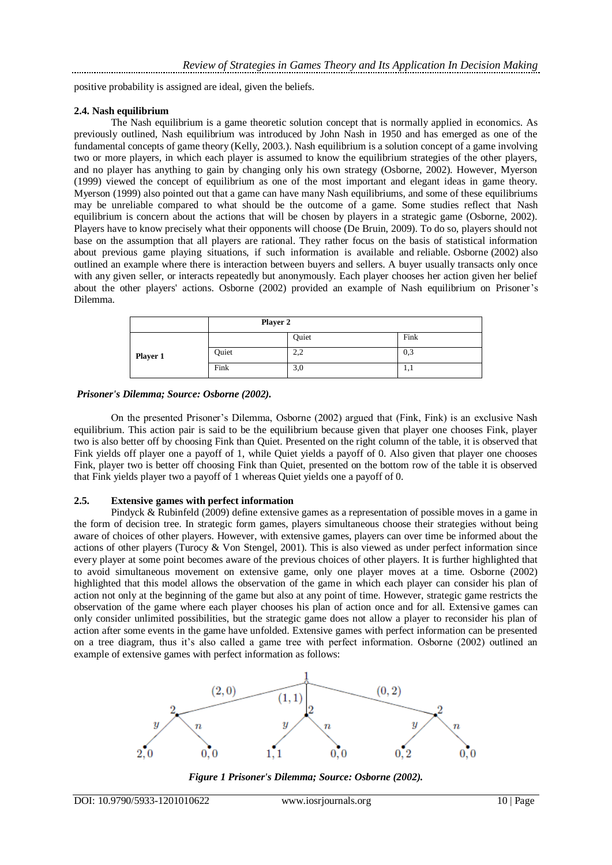positive probability is assigned are ideal, given the beliefs.

#### **2.4. Nash equilibrium**

The Nash equilibrium is a game theoretic solution concept that is normally applied in economics. As previously outlined, Nash equilibrium was introduced by John Nash in 1950 and has emerged as one of the fundamental concepts of game theory (Kelly, 2003.). Nash equilibrium is a solution concept of a game involving two or more players, in which each player is assumed to know the equilibrium strategies of the other players, and no player has anything to gain by changing only his own strategy (Osborne, 2002). However, Myerson (1999) viewed the concept of equilibrium as one of the most important and elegant ideas in game theory. Myerson (1999) also pointed out that a game can have many Nash equilibriums, and some of these equilibriums may be unreliable compared to what should be the outcome of a game. Some studies reflect that Nash equilibrium is concern about the actions that will be chosen by players in a strategic game (Osborne, 2002). Players have to know precisely what their opponents will choose (De Bruin, 2009). To do so, players should not base on the assumption that all players are rational. They rather focus on the basis of statistical information about previous game playing situations, if such information is available and reliable. Osborne (2002) also outlined an example where there is interaction between buyers and sellers. A buyer usually transacts only once with any given seller, or interacts repeatedly but anonymously. Each player chooses her action given her belief about the other players' actions. Osborne (2002) provided an example of Nash equilibrium on Prisoner's Dilemma.

|          | Player 2 |                         |      |
|----------|----------|-------------------------|------|
|          |          | Quiet                   | Fink |
| Player 1 | Quiet    | າ າ<br>$\angle, \angle$ | 0,3  |
|          | Fink     | 3,0                     | 1,1  |

#### *Prisoner's Dilemma; Source: Osborne (2002).*

On the presented Prisoner's Dilemma, Osborne (2002) argued that (Fink, Fink) is an exclusive Nash equilibrium. This action pair is said to be the equilibrium because given that player one chooses Fink, player two is also better off by choosing Fink than Quiet. Presented on the right column of the table, it is observed that Fink yields off player one a payoff of 1, while Quiet yields a payoff of 0. Also given that player one chooses Fink, player two is better off choosing Fink than Quiet, presented on the bottom row of the table it is observed that Fink yields player two a payoff of 1 whereas Quiet yields one a payoff of 0.

## **2.5. Extensive games with perfect information**

Pindyck & Rubinfeld (2009) define extensive games as a representation of possible moves in a game in the form of decision tree. In strategic form games, players simultaneous choose their strategies without being aware of choices of other players. However, with extensive games, players can over time be informed about the actions of other players (Turocy & Von Stengel, 2001). This is also viewed as under perfect information since every player at some point becomes aware of the previous choices of other players. It is further highlighted that to avoid simultaneous movement on extensive game, only one player moves at a time. Osborne (2002) highlighted that this model allows the observation of the game in which each player can consider his plan of action not only at the beginning of the game but also at any point of time. However, strategic game restricts the observation of the game where each player chooses his plan of action once and for all. Extensive games can only consider unlimited possibilities, but the strategic game does not allow a player to reconsider his plan of action after some events in the game have unfolded. Extensive games with perfect information can be presented on a tree diagram, thus it's also called a game tree with perfect information. Osborne (2002) outlined an example of extensive games with perfect information as follows:



*Figure 1 Prisoner's Dilemma; Source: Osborne (2002).*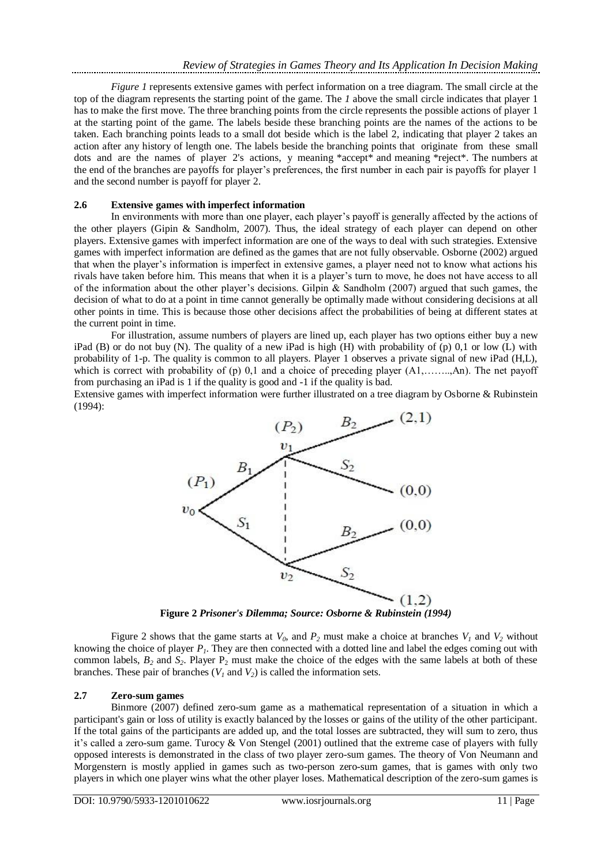*Figure 1* represents extensive games with perfect information on a tree diagram. The small circle at the top of the diagram represents the starting point of the game. The *1* above the small circle indicates that player 1 has to make the first move. The three branching points from the circle represents the possible actions of player 1 at the starting point of the game. The labels beside these branching points are the names of the actions to be taken. Each branching points leads to a small dot beside which is the label 2, indicating that player 2 takes an action after any history of length one. The labels beside the branching points that originate from these small dots and are the names of player 2's actions, y meaning \*accept\* and meaning \*reject\*. The numbers at the end of the branches are payoffs for player's preferences, the first number in each pair is payoffs for player 1 and the second number is payoff for player 2.

## **2.6 Extensive games with imperfect information**

In environments with more than one player, each player's payoff is generally affected by the actions of the other players (Gipin & Sandholm, 2007). Thus, the ideal strategy of each player can depend on other players. Extensive games with imperfect information are one of the ways to deal with such strategies. Extensive games with imperfect information are defined as the games that are not fully observable. Osborne (2002) argued that when the player's information is imperfect in extensive games, a player need not to know what actions his rivals have taken before him. This means that when it is a player's turn to move, he does not have access to all of the information about the other player's decisions. Gilpin  $\&$  Sandholm (2007) argued that such games, the decision of what to do at a point in time cannot generally be optimally made without considering decisions at all other points in time. This is because those other decisions affect the probabilities of being at different states at the current point in time.

For illustration, assume numbers of players are lined up, each player has two options either buy a new iPad (B) or do not buy (N). The quality of a new iPad is high (H) with probability of (p) 0,1 or low (L) with probability of 1-p. The quality is common to all players. Player 1 observes a private signal of new iPad (H,L), which is correct with probability of (p) 0,1 and a choice of preceding player  $(A1, \ldots, An)$ . The net payoff from purchasing an iPad is 1 if the quality is good and -1 if the quality is bad.

Extensive games with imperfect information were further illustrated on a tree diagram by Osborne & Rubinstein (1994):



**Figure 2** *Prisoner's Dilemma; Source: Osborne & Rubinstein (1994)*

Figure 2 shows that the game starts at  $V_0$ , and  $P_2$  must make a choice at branches  $V_1$  and  $V_2$  without knowing the choice of player *P1*. They are then connected with a dotted line and label the edges coming out with common labels,  $B_2$  and  $S_2$ . Player  $P_2$  must make the choice of the edges with the same labels at both of these branches. These pair of branches  $(V<sub>1</sub>$  and  $V<sub>2</sub>)$  is called the information sets.

## **2.7 Zero-sum games**

Binmore (2007) defined zero-sum game as a mathematical representation of a situation in which a participant's gain or loss of utility is exactly balanced by the losses or gains of the utility of the other participant. If the total gains of the participants are added up, and the total losses are subtracted, they will sum to zero, thus it's called a zero-sum game. Turocy & Von Stengel (2001) outlined that the extreme case of players with fully opposed interests is demonstrated in the class of two player zero-sum games. The theory of Von Neumann and Morgenstern is mostly applied in games such as two-person zero-sum games, that is games with only two players in which one player wins what the other player loses. Mathematical description of the zero-sum games is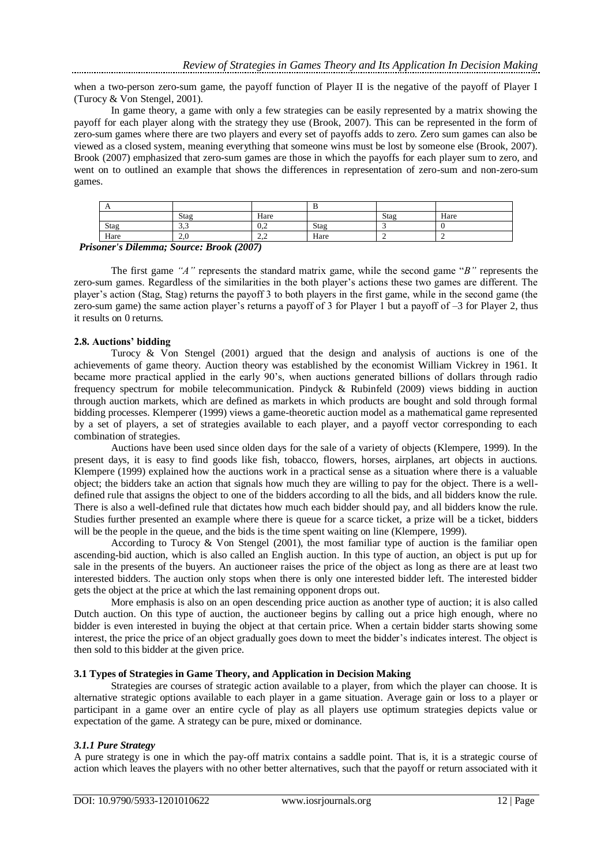when a two-person zero-sum game, the payoff function of Player II is the negative of the payoff of Player I (Turocy & Von Stengel, 2001).

In game theory, a game with only a few strategies can be easily represented by a matrix showing the payoff for each player along with the strategy they use (Brook, 2007). This can be represented in the form of zero-sum games where there are two players and every set of payoffs adds to zero. Zero sum games can also be viewed as a closed system, meaning everything that someone wins must be lost by someone else (Brook, 2007). Brook (2007) emphasized that zero-sum games are those in which the payoffs for each player sum to zero, and went on to outlined an example that shows the differences in representation of zero-sum and non-zero-sum games.

| $\Gamma$ |               |                    |      |      |      |  |
|----------|---------------|--------------------|------|------|------|--|
|          | Stag          | Hare               |      | Stag | Hare |  |
| Stag     | $\sim$<br>ر د | ∪.∠                | Stag |      |      |  |
| Hare     | $\sim$        | $\sim$<br><u>.</u> | Hare |      |      |  |

 *Prisoner's Dilemma; Source: Brook (2007)*

The first game *"A"* represents the standard matrix game, while the second game "*B"* represents the zero-sum games. Regardless of the similarities in the both player's actions these two games are different. The player's action (Stag, Stag) returns the payoff 3 to both players in the first game, while in the second game (the zero-sum game) the same action player's returns a payoff of 3 for Player 1 but a payoff of –3 for Player 2, thus it results on 0 returns.

## **2.8. Auctions' bidding**

Turocy  $\&$  Von Stengel (2001) argued that the design and analysis of auctions is one of the achievements of game theory. Auction theory was established by the economist William Vickrey in 1961. It became more practical applied in the early 90's, when auctions generated billions of dollars through radio frequency spectrum for mobile telecommunication. Pindyck & Rubinfeld (2009) views bidding in auction through auction markets, which are defined as markets in which products are bought and sold through formal bidding processes. Klemperer (1999) views a game-theoretic auction model as a mathematical game represented by a set of players, a set of strategies available to each player, and a payoff vector corresponding to each combination of strategies.

Auctions have been used since olden days for the sale of a variety of objects (Klempere, 1999). In the present days, it is easy to find goods like fish, tobacco, flowers, horses, airplanes, art objects in auctions. Klempere (1999) explained how the auctions work in a practical sense as a situation where there is a valuable object; the bidders take an action that signals how much they are willing to pay for the object. There is a welldefined rule that assigns the object to one of the bidders according to all the bids, and all bidders know the rule. There is also a well-defined rule that dictates how much each bidder should pay, and all bidders know the rule. Studies further presented an example where there is queue for a scarce ticket, a prize will be a ticket, bidders will be the people in the queue, and the bids is the time spent waiting on line (Klempere, 1999).

According to Turocy & Von Stengel (2001), the most familiar type of auction is the familiar open ascending-bid auction, which is also called an English auction. In this type of auction, an object is put up for sale in the presents of the buyers. An auctioneer raises the price of the object as long as there are at least two interested bidders. The auction only stops when there is only one interested bidder left. The interested bidder gets the object at the price at which the last remaining opponent drops out.

More emphasis is also on an open descending price auction as another type of auction; it is also called Dutch auction. On this type of auction, the auctioneer begins by calling out a price high enough, where no bidder is even interested in buying the object at that certain price. When a certain bidder starts showing some interest, the price the price of an object gradually goes down to meet the bidder's indicates interest. The object is then sold to this bidder at the given price.

## **3.1 Types of Strategies in Game Theory, and Application in Decision Making**

Strategies are courses of strategic action available to a player, from which the player can choose. It is alternative strategic options available to each player in a game situation. Average gain or loss to a player or participant in a game over an entire cycle of play as all players use optimum strategies depicts value or expectation of the game. A strategy can be pure, mixed or dominance.

# *3.1.1 Pure Strategy*

A pure strategy is one in which the pay-off matrix contains a saddle point. That is, it is a strategic course of action which leaves the players with no other better alternatives, such that the payoff or return associated with it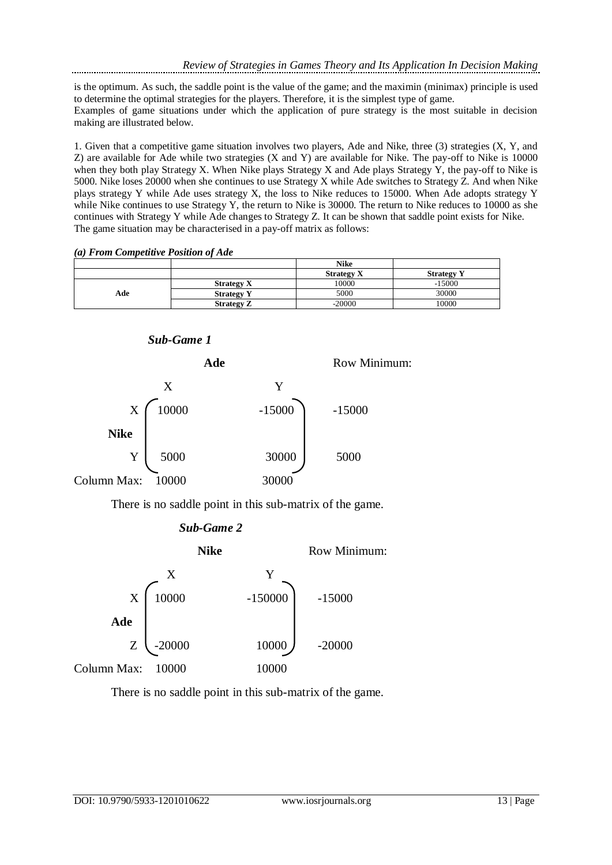is the optimum. As such, the saddle point is the value of the game; and the maximin (minimax) principle is used to determine the optimal strategies for the players. Therefore, it is the simplest type of game.

Examples of game situations under which the application of pure strategy is the most suitable in decision making are illustrated below.

1. Given that a competitive game situation involves two players, Ade and Nike, three (3) strategies (X, Y, and Z) are available for Ade while two strategies (X and Y) are available for Nike. The pay-off to Nike is 10000 when they both play Strategy X. When Nike plays Strategy X and Ade plays Strategy Y, the pay-off to Nike is 5000. Nike loses 20000 when she continues to use Strategy X while Ade switches to Strategy Z. And when Nike plays strategy Y while Ade uses strategy X, the loss to Nike reduces to 15000. When Ade adopts strategy Y while Nike continues to use Strategy Y, the return to Nike is 30000. The return to Nike reduces to 10000 as she continues with Strategy Y while Ade changes to Strategy Z. It can be shown that saddle point exists for Nike. The game situation may be characterised in a pay-off matrix as follows:

|  | (a) From Competitive Position of Ade |  |
|--|--------------------------------------|--|
|  |                                      |  |

|     |                   | <b>Nike</b>       |                   |
|-----|-------------------|-------------------|-------------------|
|     |                   | <b>Strategy X</b> | <b>Strategy Y</b> |
| Ade | <b>Strategy X</b> | 10000             | $-15000$          |
|     | <b>Strategy Y</b> | 5000              | 30000             |
|     | <b>Strategy Z</b> | $-20000$          | 10000             |

## *Sub-Game 1*



There is no saddle point in this sub-matrix of the game.





There is no saddle point in this sub-matrix of the game.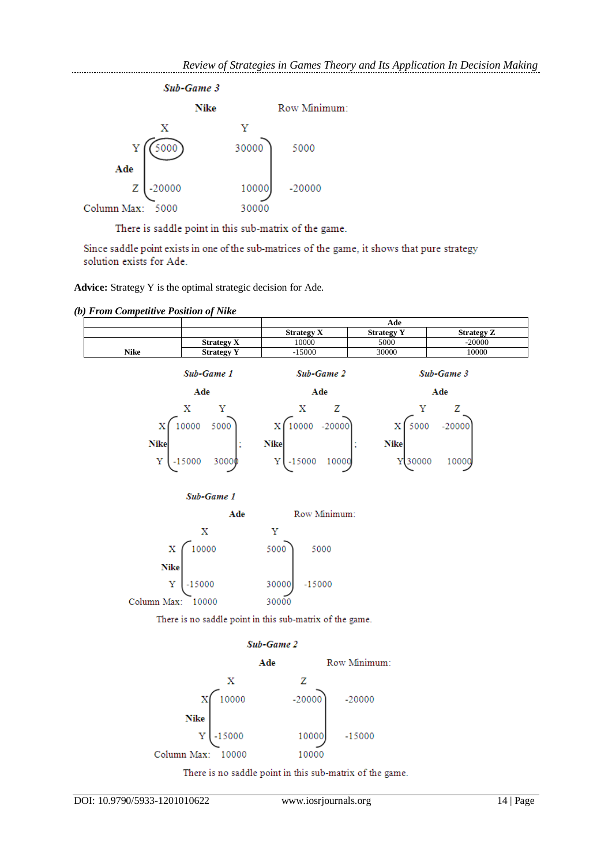

There is saddle point in this sub-matrix of the game.

Since saddle point exists in one of the sub-matrices of the game, it shows that pure strategy solution exists for Ade.

**Advice:** Strategy Y is the optimal strategic decision for Ade.

*(b) From Competitive Position of Nike*

|      |                   | Ade               |                   |                   |  |
|------|-------------------|-------------------|-------------------|-------------------|--|
|      |                   | <b>Strategy X</b> | <b>Strategy Y</b> | <b>Strategy Z</b> |  |
|      | <b>Strategy X</b> | 10000             | 5000              | $-20000$          |  |
| Nike | <b>Strategy Y</b> | 15000             | 30000             | 10000             |  |
|      |                   |                   |                   |                   |  |



There is no saddle point in this sub-matrix of the game.

# Sub-Game 2



There is no saddle point in this sub-matrix of the game.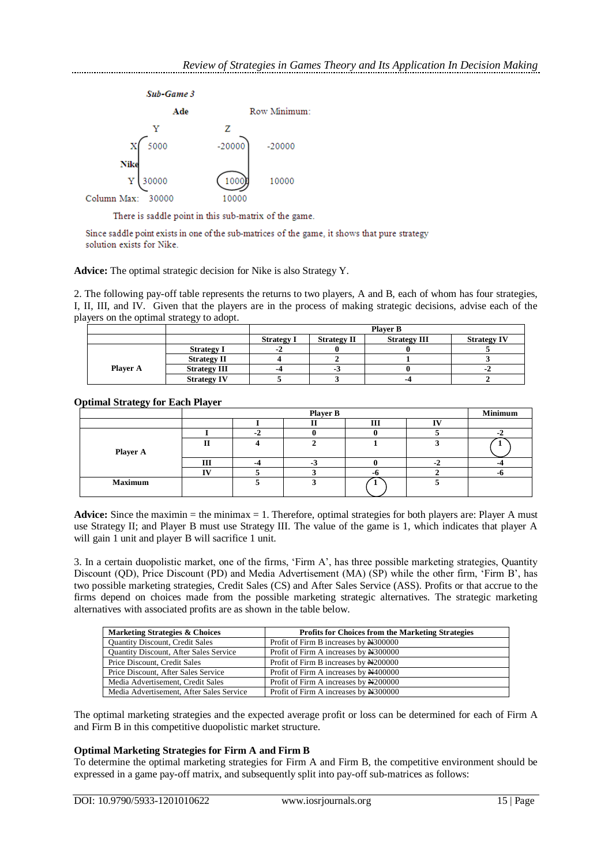

There is saddle point in this sub-matrix of the game.

Since saddle point exists in one of the sub-matrices of the game, it shows that pure strategy solution exists for Nike.

**Advice:** The optimal strategic decision for Nike is also Strategy Y.

2. The following pay-off table represents the returns to two players, A and B, each of whom has four strategies, I, II, III, and IV. Given that the players are in the process of making strategic decisions, advise each of the players on the optimal strategy to adopt.

|                 |                     | <b>Player B</b>   |                    |                     |                    |
|-----------------|---------------------|-------------------|--------------------|---------------------|--------------------|
|                 |                     | <b>Strategy I</b> | <b>Strategy II</b> | <b>Strategy III</b> | <b>Strategy IV</b> |
|                 | <b>Strategy I</b>   | $-2$              |                    |                     |                    |
|                 | <b>Strategy II</b>  |                   |                    |                     |                    |
| <b>Player A</b> | <b>Strategy III</b> | -4                | -3                 |                     | $-2$               |
|                 | <b>Strategy IV</b>  |                   |                    | -6                  |                    |

**Optimal Strategy for Each Player**

|                | <b>Player B</b> |  |     |     | <b>Minimum</b> |  |
|----------------|-----------------|--|-----|-----|----------------|--|
|                |                 |  |     | Ш   | $\mathbf{v}$   |  |
|                |                 |  |     |     |                |  |
| Player A       | тт              |  |     |     |                |  |
|                | Ш               |  | - 1 |     |                |  |
|                | <b>TT:</b>      |  |     | - 1 |                |  |
| <b>Maximum</b> |                 |  |     |     |                |  |

**Advice:** Since the maximin  $=$  the minimax  $= 1$ . Therefore, optimal strategies for both players are: Player A must use Strategy II; and Player B must use Strategy III. The value of the game is 1, which indicates that player A will gain 1 unit and player B will sacrifice 1 unit.

3. In a certain duopolistic market, one of the firms, 'Firm A', has three possible marketing strategies, Quantity Discount (QD), Price Discount (PD) and Media Advertisement (MA) (SP) while the other firm, 'Firm B', has two possible marketing strategies, Credit Sales (CS) and After Sales Service (ASS). Profits or that accrue to the firms depend on choices made from the possible marketing strategic alternatives. The strategic marketing alternatives with associated profits are as shown in the table below.

| Marketing Strategies & Choices           | <b>Profits for Choices from the Marketing Strategies</b> |
|------------------------------------------|----------------------------------------------------------|
| <b>Quantity Discount, Credit Sales</b>   | Profit of Firm B increases by N300000                    |
| Quantity Discount, After Sales Service   | Profit of Firm A increases by N300000                    |
| Price Discount, Credit Sales             | Profit of Firm B increases by N200000                    |
| Price Discount, After Sales Service      | Profit of Firm A increases by N400000                    |
| Media Advertisement, Credit Sales        | Profit of Firm A increases by N200000                    |
| Media Advertisement. After Sales Service | Profit of Firm A increases by N300000                    |

The optimal marketing strategies and the expected average profit or loss can be determined for each of Firm A and Firm B in this competitive duopolistic market structure.

# **Optimal Marketing Strategies for Firm A and Firm B**

To determine the optimal marketing strategies for Firm A and Firm B, the competitive environment should be expressed in a game pay-off matrix, and subsequently split into pay-off sub-matrices as follows: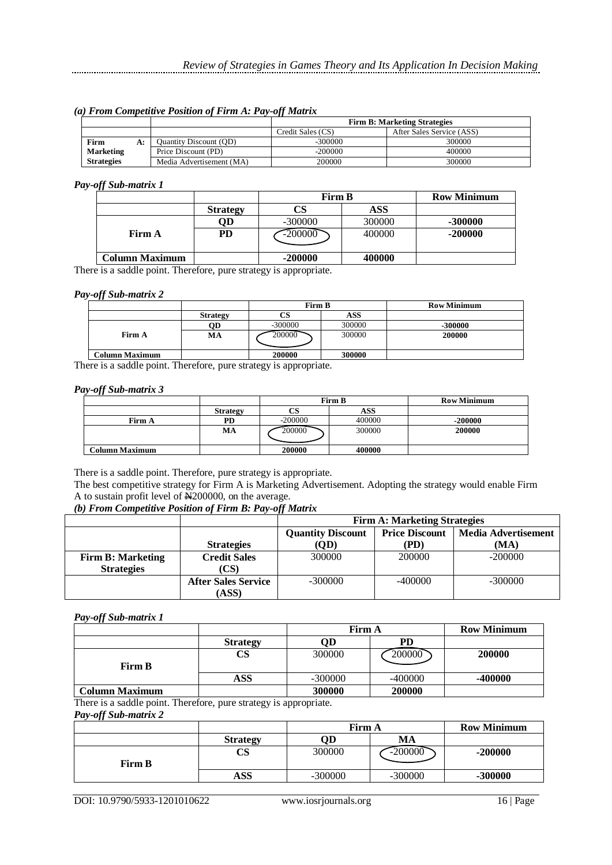*(a) From Competitive Position of Firm A: Pay-off Matrix*

|                   |    |                               |                   | <b>Firm B: Marketing Strategies</b> |  |  |
|-------------------|----|-------------------------------|-------------------|-------------------------------------|--|--|
|                   |    |                               | Credit Sales (CS) | After Sales Service (ASS)           |  |  |
| Firm              | A: | <b>Ouantity Discount (OD)</b> | -300000           | 300000                              |  |  |
| <b>Marketing</b>  |    | Price Discount (PD)           | $-200000$         | 400000                              |  |  |
| <b>Strategies</b> |    | Media Advertisement (MA)      | 200000            | 300000                              |  |  |

#### *Pay-off Sub-matrix 1*

|                       |                 | <b>Firm B</b> |        | <b>Row Minimum</b> |
|-----------------------|-----------------|---------------|--------|--------------------|
|                       | <b>Strategy</b> |               | ASS    |                    |
|                       | QD              | $-300000$     | 300000 | -300000            |
| Firm A                | PD              | $-200000$     | 400000 | $-200000$          |
|                       |                 |               |        |                    |
| <b>Column Maximum</b> |                 | $-200000$     | 400000 |                    |

There is a saddle point. Therefore, pure strategy is appropriate.

#### *Pay-off Sub-matrix 2*

|                       |                 | Firm B    |        | <b>Row Minimum</b> |
|-----------------------|-----------------|-----------|--------|--------------------|
|                       | <b>Strategy</b> | CS        | ASS    |                    |
|                       | OD              | $-300000$ | 300000 | -300000            |
| Firm A                | MА              | 200000    | 300000 | 200000             |
| <b>Column Maximum</b> |                 | 200000    | 300000 |                    |

There is a saddle point. Therefore, pure strategy is appropriate.

## *Pay-off Sub-matrix 3*

|                |                 | Firm B    |        | <b>Row Minimum</b> |
|----------------|-----------------|-----------|--------|--------------------|
|                | <b>Strategy</b> | СS        | ASS    |                    |
| Firm A         | PD              | $-200000$ | 400000 | $-200000$          |
|                | MA              | 200000    | 300000 | 200000             |
|                |                 |           |        |                    |
| Column Maximum |                 | 200000    | 400000 |                    |

There is a saddle point. Therefore, pure strategy is appropriate.

The best competitive strategy for Firm A is Marketing Advertisement. Adopting the strategy would enable Firm A to sustain profit level of N200000, on the average.

## *(b) From Competitive Position of Firm B: Pay-off Matrix*

|                          |                            | <b>Firm A: Marketing Strategies</b> |                       |                            |
|--------------------------|----------------------------|-------------------------------------|-----------------------|----------------------------|
|                          |                            | <b>Quantity Discount</b>            | <b>Price Discount</b> | <b>Media Advertisement</b> |
|                          | <b>Strategies</b>          | (OD)                                | (PD)                  | (MA)                       |
| <b>Firm B: Marketing</b> | <b>Credit Sales</b>        | 300000                              | 200000                | $-200000$                  |
| <b>Strategies</b>        | (CS)                       |                                     |                       |                            |
|                          | <b>After Sales Service</b> | $-300000$                           | $-400000$             | $-300000$                  |
|                          | (ASS)                      |                                     |                       |                            |

## *Pay-off Sub-matrix 1*

|                       |                 | <b>Firm A</b> |           | <b>Row Minimum</b> |
|-----------------------|-----------------|---------------|-----------|--------------------|
|                       | <b>Strategy</b> | OD            | PD        |                    |
| Firm B                | CS              | 300000        | 200000    | 200000             |
|                       | ASS             | $-300000$     | $-400000$ | -400000            |
| <b>Column Maximum</b> |                 | 300000        | 200000    |                    |

There is a saddle point. Therefore, pure strategy is appropriate.

*Pay-off Sub-matrix 2*

|               |                 | <b>Firm A</b> |           | <b>Row Minimum</b> |
|---------------|-----------------|---------------|-----------|--------------------|
|               | <b>Strategy</b> | ЭD            | MA        |                    |
| <b>Firm B</b> | CS              | 300000        | $-200000$ | $-200000$          |
|               | <b>ASS</b>      | $-300000$     | $-300000$ | -300000            |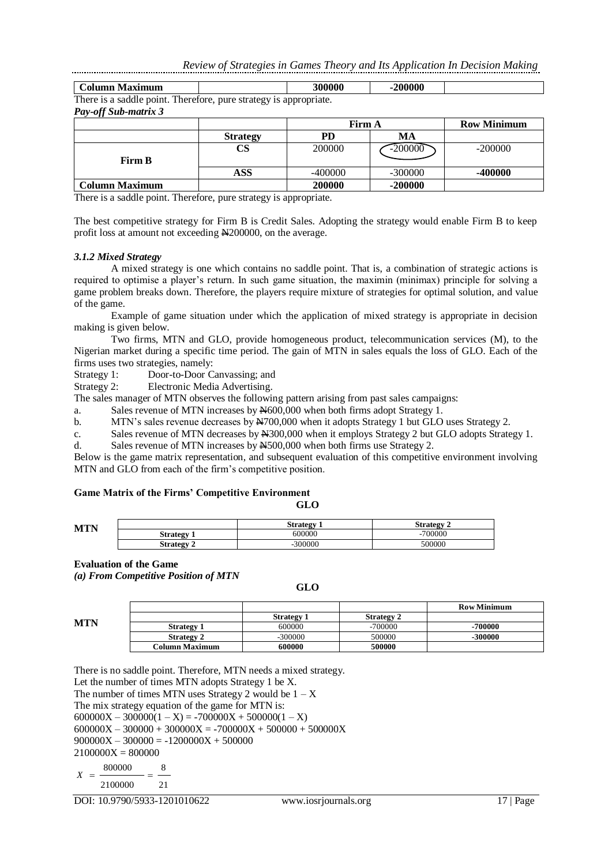| Column Maximum                                                    |                 | 300000  | $-200000$     |                    |
|-------------------------------------------------------------------|-----------------|---------|---------------|--------------------|
| There is a saddle point. Therefore, pure strategy is appropriate. |                 |         |               |                    |
| <b>Pay-off Sub-matrix 3</b>                                       |                 |         |               |                    |
|                                                                   |                 |         | <b>Firm A</b> | <b>Row Minimum</b> |
|                                                                   | <b>Strategy</b> | PD      | МA            |                    |
|                                                                   | CS              | 200000  | $-200000$     | $-200000$          |
| <b>Firm B</b>                                                     |                 |         |               |                    |
|                                                                   | <b>ASS</b>      | -400000 | $-300000$     | -400000            |
| <b>Column Maximum</b>                                             |                 | 200000  | $-200000$     |                    |

There is a saddle point. Therefore, pure strategy is appropriate.

The best competitive strategy for Firm B is Credit Sales. Adopting the strategy would enable Firm B to keep profit loss at amount not exceeding N200000, on the average.

#### *3.1.2 Mixed Strategy*

A mixed strategy is one which contains no saddle point. That is, a combination of strategic actions is required to optimise a player's return. In such game situation, the maximin (minimax) principle for solving a game problem breaks down. Therefore, the players require mixture of strategies for optimal solution, and value of the game.

Example of game situation under which the application of mixed strategy is appropriate in decision making is given below.

Two firms, MTN and GLO, provide homogeneous product, telecommunication services (M), to the Nigerian market during a specific time period. The gain of MTN in sales equals the loss of GLO. Each of the firms uses two strategies, namely:

Strategy 1: Door-to-Door Canvassing; and

Strategy 2: Electronic Media Advertising.

The sales manager of MTN observes the following pattern arising from past sales campaigns:

a. Sales revenue of MTN increases by N600,000 when both firms adopt Strategy 1.

b. MTN's sales revenue decreases by  $\frac{N700,000}{N}$  when it adopts Strategy 1 but GLO uses Strategy 2.

c. Sales revenue of MTN decreases by N300,000 when it employs Strategy 2 but GLO adopts Strategy 1.

d. Sales revenue of MTN increases by N500,000 when both firms use Strategy 2.

Below is the game matrix representation, and subsequent evaluation of this competitive environment involving MTN and GLO from each of the firm's competitive position.

## **Game Matrix of the Firms' Competitive Environment**

| ×<br>×<br>۰,<br>.,<br>۰.<br>۰. |
|--------------------------------|
|--------------------------------|

| MTN |                       | <b>Strategy</b> | <b>Strategy</b> |
|-----|-----------------------|-----------------|-----------------|
|     | Strategy<br>۰.        | 600000          | -700000         |
|     | <b>Strategy</b><br>٠. | -300000         | 500000          |

#### **Evaluation of the Game**

*(a) From Competitive Position of MTN*

#### **GLO**

|            |                   |                   |                   | KOW MIHHH |
|------------|-------------------|-------------------|-------------------|-----------|
| <b>MTN</b> |                   | <b>Strategy 1</b> | <b>Strategy 2</b> |           |
|            | <b>Strategy 1</b> | 600000            | $-700000$         | 700000    |
|            | <b>Strategy 2</b> | $-300000$         | 500000            | 300000    |
|            | Column Maximum    | 600000            | 500000            |           |

There is no saddle point. Therefore, MTN needs a mixed strategy. Let the number of times MTN adopts Strategy 1 be X. The number of times MTN uses Strategy 2 would be  $1 - X$ The mix strategy equation of the game for MTN is:  $600000X - 300000(1 - X) = -700000X + 500000(1 - X)$  $600000X - 300000 + 300000X = -700000X + 500000 + 500000X$  $900000X - 300000 = -1200000X + 500000$  $2100000X = 800000$ 21 8 2100000 800000 *X*

**Row Minimum**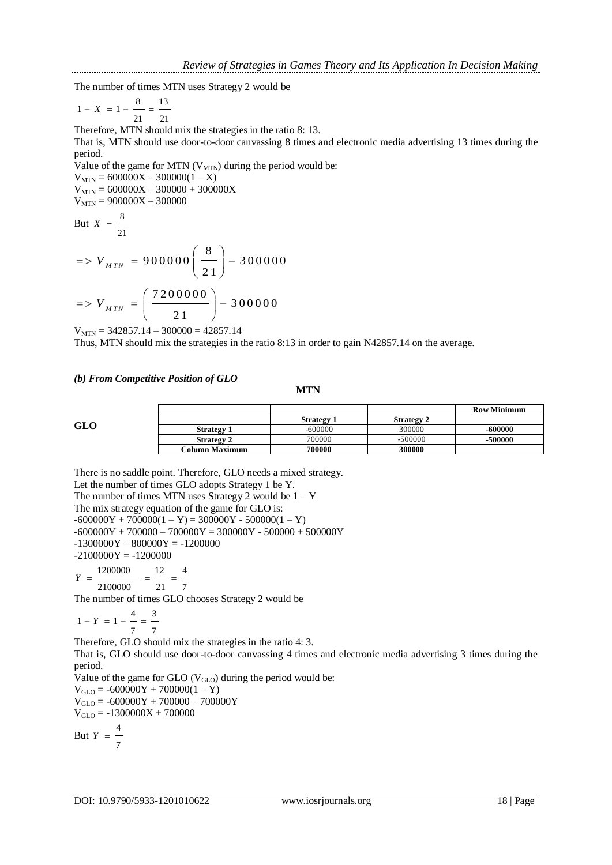The number of times MTN uses Strategy 2 would be

$$
1 - X = 1 - \frac{8}{21} = \frac{13}{21}
$$

Therefore, MTN should mix the strategies in the ratio 8: 13.

That is, MTN should use door-to-door canvassing 8 times and electronic media advertising 13 times during the period.

Value of the game for MTN  $(V_{\text{MTN}})$  during the period would be:

 $V_{MTN} = 600000X - 300000(1-X)$  $V_{MTN} = 600000X - 300000 + 300000X$  $V_{\text{MTN}} = 900000X - 300000$ 

But 
$$
X = \frac{8}{21}
$$

$$
= V_{MTN} = 900000 \left(\frac{8}{21}\right) - 300000
$$
  

$$
= V_{NTN} - \left(\frac{7200000}{21}\right) - 300000
$$

$$
=> V_{MTN} = \left(\frac{7200000}{21}\right) - 300000
$$

 $V_{MTN} = 342857.14 - 300000 = 42857.14$ 

Thus, MTN should mix the strategies in the ratio 8:13 in order to gain N42857.14 on the average.

### *(b) From Competitive Position of GLO*

#### **MTN**

|--|

|                      |                   |                   |                   | <b>Row Minimum</b> |
|----------------------|-------------------|-------------------|-------------------|--------------------|
|                      |                   | <b>Strategy 1</b> | <b>Strategy 2</b> |                    |
| $\operatorname{GLO}$ | <b>Strategy 1</b> | $-600000$         | 300000            | $-600000$          |
|                      | <b>Strategy 2</b> | 700000            | -500000           | -500000            |
|                      | Column Maximum    | 700000            | 300000            |                    |

There is no saddle point. Therefore, GLO needs a mixed strategy. Let the number of times GLO adopts Strategy 1 be Y. The number of times MTN uses Strategy 2 would be  $1 - Y$ The mix strategy equation of the game for GLO is:  $-600000Y + 700000(1 - Y) = 300000Y - 500000(1 - Y)$  $-600000Y + 700000 - 700000Y = 300000Y - 500000 + 500000Y$  $-1300000Y - 800000Y = -1200000$  $-2100000Y = -1200000$ 7 21  $Y = \frac{1200000}{ } = \frac{12}{ } = \frac{4}{ }$ 12 2100000 1200000

The number of times GLO chooses Strategy 2 would be

$$
1 - Y = 1 - \frac{4}{7} = \frac{3}{7}
$$

Therefore, GLO should mix the strategies in the ratio 4: 3.

That is, GLO should use door-to-door canvassing 4 times and electronic media advertising 3 times during the period.

Value of the game for GLO  $(V_{GLO})$  during the period would be:  $V_{GLO} = -600000Y + 700000(1 - Y)$ 

 $V_{GLO} = -600000Y + 700000 - 700000Y$  $V_{GLO} = -1300000X + 700000$ 

But 7  $Y = \frac{4}{1}$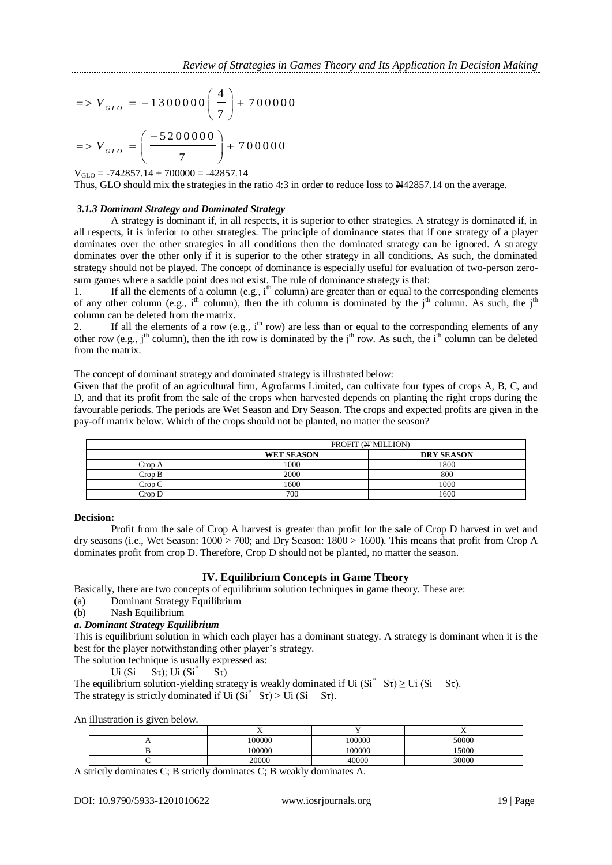$$
= V_{GLO} = -1300000 \left(\frac{4}{7}\right) + 700000
$$

$$
= V_{GLO} = \left(\frac{-5200000}{7}\right) + 700000
$$

 $V_{GLO}$  = -742857.14 + 700000 = -42857.14

Thus, GLO should mix the strategies in the ratio 4:3 in order to reduce loss to N42857.14 on the average.

## *3.1.3 Dominant Strategy and Dominated Strategy*

A strategy is dominant if, in all respects, it is superior to other strategies. A strategy is dominated if, in all respects, it is inferior to other strategies. The principle of dominance states that if one strategy of a player dominates over the other strategies in all conditions then the dominated strategy can be ignored. A strategy dominates over the other only if it is superior to the other strategy in all conditions. As such, the dominated strategy should not be played. The concept of dominance is especially useful for evaluation of two-person zerosum games where a saddle point does not exist. The rule of dominance strategy is that:

1. If all the elements of a column (e.g.,  $i<sup>th</sup>$  column) are greater than or equal to the corresponding elements of any other column (e.g.,  $i<sup>th</sup>$  column), then the ith column is dominated by the  $i<sup>th</sup>$  column. As such, the  $i<sup>th</sup>$ column can be deleted from the matrix.

2. If all the elements of a row (e.g.,  $i<sup>th</sup>$  row) are less than or equal to the corresponding elements of any other row (e.g., j<sup>th</sup> column), then the ith row is dominated by the j<sup>th</sup> row. As such, the  $\hat{i}^{\text{th}}$  column can be deleted from the matrix.

The concept of dominant strategy and dominated strategy is illustrated below:

Given that the profit of an agricultural firm, Agrofarms Limited, can cultivate four types of crops A, B, C, and D, and that its profit from the sale of the crops when harvested depends on planting the right crops during the favourable periods. The periods are Wet Season and Dry Season. The crops and expected profits are given in the pay-off matrix below. Which of the crops should not be planted, no matter the season?

|        |                   | PROFIT (N'MILLION) |
|--------|-------------------|--------------------|
|        | <b>WET SEASON</b> | <b>DRY SEASON</b>  |
| Crop A | 1000              | 1800               |
| Crop B | 2000              | 800                |
| Crop C | 1600              | 1000               |
| Crop D | 700               | 1600               |

## **Decision:**

Profit from the sale of Crop A harvest is greater than profit for the sale of Crop D harvest in wet and dry seasons (i.e., Wet Season: 1000 > 700; and Dry Season: 1800 > 1600). This means that profit from Crop A dominates profit from crop D. Therefore, Crop D should not be planted, no matter the season.

# **IV. Equilibrium Concepts in Game Theory**

Basically, there are two concepts of equilibrium solution techniques in game theory. These are:

(a) Dominant Strategy Equilibrium

(b) Nash Equilibrium

# *a. Dominant Strategy Equilibrium*

This is equilibrium solution in which each player has a dominant strategy. A strategy is dominant when it is the best for the player notwithstanding other player's strategy.

The solution technique is usually expressed as:

Ui  $(Si - S\tau)$ ; Ui  $(Si^*)$  $S_{\tau}$ )

The equilibrium solution-yielding strategy is weakly dominated if Ui  $(Si^* S\tau) \geq$  Ui  $(Si S\tau)$ . The strategy is strictly dominated if Ui  $(Si^* S\tau)$  > Ui  $(Si S\tau)$ .

An illustration is given below.

|  | --<br>$\overline{ }$ |        | - -<br>$\overline{ }$ |
|--|----------------------|--------|-----------------------|
|  | 00000                | 100000 | 50000                 |
|  | 00000                | 100000 | 15000                 |
|  | 20000                | 40000  | 30000                 |

A strictly dominates C; B strictly dominates C; B weakly dominates A.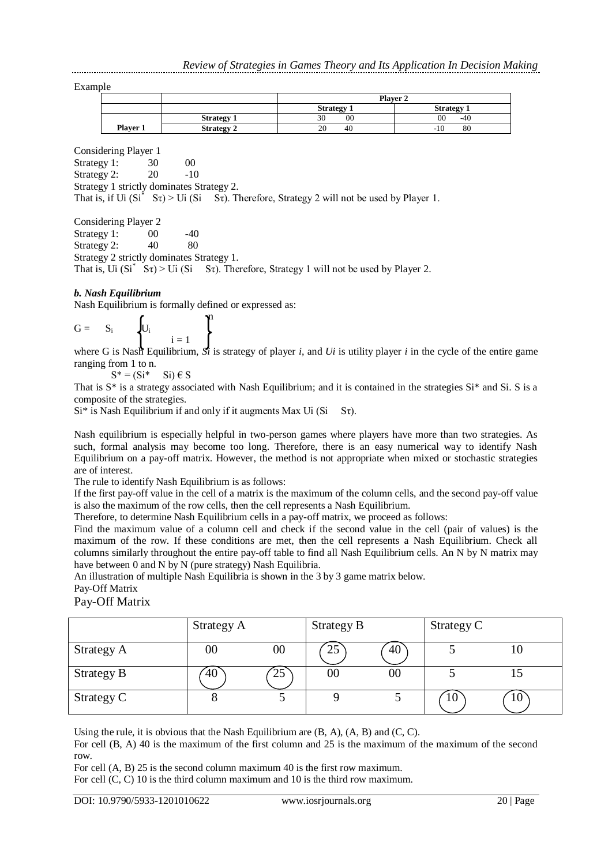Example

|          |                   | <b>Player 2</b>   |                   |  |  |  |
|----------|-------------------|-------------------|-------------------|--|--|--|
|          |                   | <b>Strategy 1</b> | <b>Strategy 1</b> |  |  |  |
|          | <b>Strategy 1</b> | 00<br>30          | 00<br>$-40$       |  |  |  |
| Player 1 | <b>Strategy 2</b> | 20<br>40          | 80<br>$-10$       |  |  |  |

Considering Player 1

Strategy 1: 30 00 Strategy 2: 20 -10 Strategy 1 strictly dominates Strategy 2. That is, if Ui  $(Si^* S\tau) > Ui$   $(Si S\tau)$ . Therefore, Strategy 2 will not be used by Player 1.

Considering Player 2

Strategy 1: 00 -40 Strategy 2:  $40 \t 80$ Strategy 2 strictly dominates Strategy 1.

That is, Ui  $(Si^* S\tau)$  > Ui  $(Si S\tau)$ . Therefore, Strategy 1 will not be used by Player 2.

## *b. Nash Equilibrium*

Nash Equilibrium is formally defined or expressed as:

$$
G = S_i \qquad \left\{ U_i \qquad \qquad \begin{array}{c} \text{if } \text{if } i = 1 \end{array} \right\}
$$

where G is Nash Equilibrium,  $S_i$  is strategy of player  $i$ , and  $Ui$  is utility player  $i$  in the cycle of the entire game ranging from 1 to n.

 $S^* = (Si^* \t Si) \in S$ 

That is  $S^*$  is a strategy associated with Nash Equilibrium; and it is contained in the strategies  $Si^*$  and Si. S is a composite of the strategies.

 $Si^*$  is Nash Equilibrium if and only if it augments Max Ui (Si St).

Nash equilibrium is especially helpful in two-person games where players have more than two strategies. As such, formal analysis may become too long. Therefore, there is an easy numerical way to identify Nash Equilibrium on a pay-off matrix. However, the method is not appropriate when mixed or stochastic strategies are of interest.

The rule to identify Nash Equilibrium is as follows:

If the first pay-off value in the cell of a matrix is the maximum of the column cells, and the second pay-off value is also the maximum of the row cells, then the cell represents a Nash Equilibrium.

Therefore, to determine Nash Equilibrium cells in a pay-off matrix, we proceed as follows:

Find the maximum value of a column cell and check if the second value in the cell (pair of values) is the maximum of the row. If these conditions are met, then the cell represents a Nash Equilibrium. Check all columns similarly throughout the entire pay-off table to find all Nash Equilibrium cells. An N by N matrix may have between 0 and N by N (pure strategy) Nash Equilibria.

An illustration of multiple Nash Equilibria is shown in the 3 by 3 game matrix below. Pay-Off Matrix

Pay-Off Matrix

|            | Strategy A |        | Strategy B |        | Strategy C |    |
|------------|------------|--------|------------|--------|------------|----|
| Strategy A | $00\,$     | $00\,$ | 25         | 40     |            | ΙU |
| Strategy B | 40         | 25     | $00\,$     | $00\,$ |            | IJ |
| Strategy C |            |        |            |        | 10         | 10 |

Using the rule, it is obvious that the Nash Equilibrium are  $(B, A)$ ,  $(A, B)$  and  $(C, C)$ .

For cell (B, A) 40 is the maximum of the first column and 25 is the maximum of the maximum of the second row.

For cell (A, B) 25 is the second column maximum 40 is the first row maximum.

For cell (C, C) 10 is the third column maximum and 10 is the third row maximum.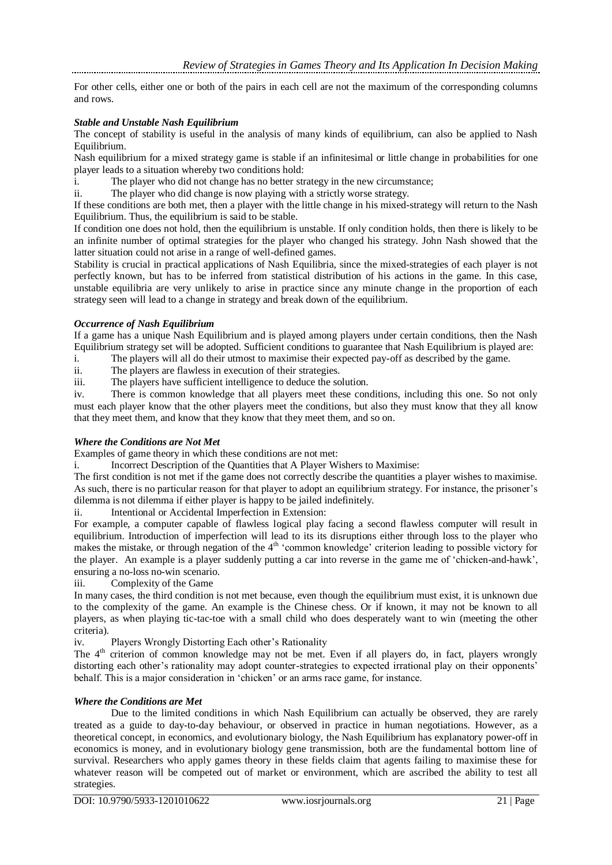For other cells, either one or both of the pairs in each cell are not the maximum of the corresponding columns and rows.

## *Stable and Unstable Nash Equilibrium*

The concept of stability is useful in the analysis of many kinds of equilibrium, can also be applied to Nash Equilibrium.

Nash equilibrium for a mixed strategy game is stable if an infinitesimal or little change in probabilities for one player leads to a situation whereby two conditions hold:

i. The player who did not change has no better strategy in the new circumstance;

ii. The player who did change is now playing with a strictly worse strategy.

If these conditions are both met, then a player with the little change in his mixed-strategy will return to the Nash Equilibrium. Thus, the equilibrium is said to be stable.

If condition one does not hold, then the equilibrium is unstable. If only condition holds, then there is likely to be an infinite number of optimal strategies for the player who changed his strategy. John Nash showed that the latter situation could not arise in a range of well-defined games.

Stability is crucial in practical applications of Nash Equilibria, since the mixed-strategies of each player is not perfectly known, but has to be inferred from statistical distribution of his actions in the game. In this case, unstable equilibria are very unlikely to arise in practice since any minute change in the proportion of each strategy seen will lead to a change in strategy and break down of the equilibrium.

## *Occurrence of Nash Equilibrium*

If a game has a unique Nash Equilibrium and is played among players under certain conditions, then the Nash Equilibrium strategy set will be adopted. Sufficient conditions to guarantee that Nash Equilibrium is played are:

i. The players will all do their utmost to maximise their expected pay-off as described by the game.

ii. The players are flawless in execution of their strategies.

iii. The players have sufficient intelligence to deduce the solution.

iv. There is common knowledge that all players meet these conditions, including this one. So not only must each player know that the other players meet the conditions, but also they must know that they all know that they meet them, and know that they know that they meet them, and so on.

## *Where the Conditions are Not Met*

Examples of game theory in which these conditions are not met:

i. Incorrect Description of the Quantities that A Player Wishers to Maximise:

The first condition is not met if the game does not correctly describe the quantities a player wishes to maximise. As such, there is no particular reason for that player to adopt an equilibrium strategy. For instance, the prisoner's dilemma is not dilemma if either player is happy to be jailed indefinitely.

ii. Intentional or Accidental Imperfection in Extension:

For example, a computer capable of flawless logical play facing a second flawless computer will result in equilibrium. Introduction of imperfection will lead to its its disruptions either through loss to the player who makes the mistake, or through negation of the 4<sup>th</sup> 'common knowledge' criterion leading to possible victory for the player. An example is a player suddenly putting a car into reverse in the game me of 'chicken-and-hawk', ensuring a no-loss no-win scenario.<br>iii. Complexity of the Game

Complexity of the Game

In many cases, the third condition is not met because, even though the equilibrium must exist, it is unknown due to the complexity of the game. An example is the Chinese chess. Or if known, it may not be known to all players, as when playing tic-tac-toe with a small child who does desperately want to win (meeting the other criteria).

iv. Players Wrongly Distorting Each other's Rationality

The 4<sup>th</sup> criterion of common knowledge may not be met. Even if all players do, in fact, players wrongly distorting each other's rationality may adopt counter-strategies to expected irrational play on their opponents' behalf. This is a major consideration in 'chicken' or an arms race game, for instance.

# *Where the Conditions are Met*

Due to the limited conditions in which Nash Equilibrium can actually be observed, they are rarely treated as a guide to day-to-day behaviour, or observed in practice in human negotiations. However, as a theoretical concept, in economics, and evolutionary biology, the Nash Equilibrium has explanatory power-off in economics is money, and in evolutionary biology gene transmission, both are the fundamental bottom line of survival. Researchers who apply games theory in these fields claim that agents failing to maximise these for whatever reason will be competed out of market or environment, which are ascribed the ability to test all strategies.